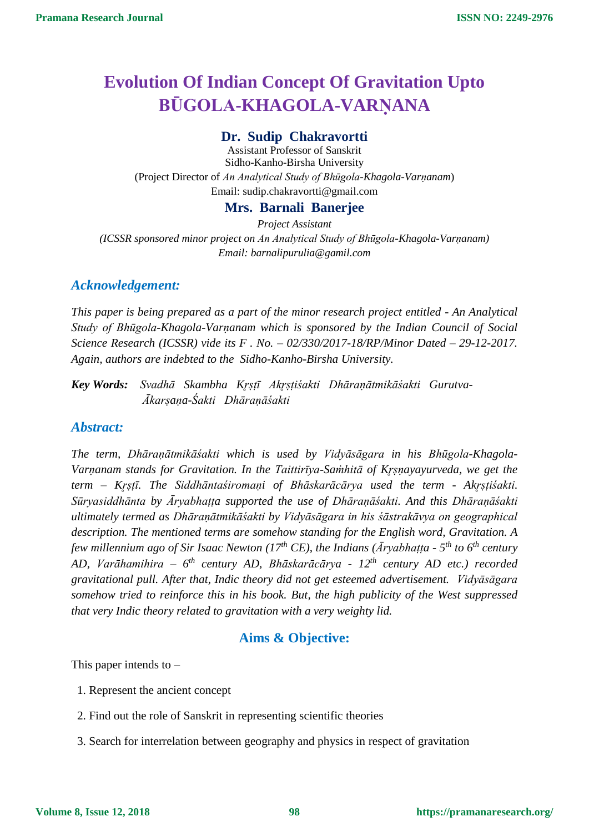# **Evolution Of Indian Concept Of Gravitation Upto BŪGOLA-KHAGOLA-VARṆANA**

## **Dr. Sudip Chakravortti**

Assistant Professor of Sanskrit Sidho-Kanho-Birsha University (Project Director of *An Analytical Study of Bhūgola-Khagola-Varṇanam*) Email: sudip.chakravortti@gmail.com

#### **Mrs. Barnali Banerjee**

*Project Assistant (ICSSR sponsored minor project on An Analytical Study of Bhūgola-Khagola-Varṇanam) Email: barnalipurulia@gamil.com*

## *Acknowledgement:*

*This paper is being prepared as a part of the minor research project entitled - An Analytical Study of Bhūgola-Khagola-Varṇanam which is sponsored by the Indian Council of Social Science Research (ICSSR) vide its F . No. – 02/330/2017-18/RP/Minor Dated – 29-12-2017. Again, authors are indebted to the Sidho-Kanho-Birsha University.*

Key Words: Svadhā Skambha Krstī Akrstiśakti Dhāranātmikāśakti Gurutva-*Ākarṣaṇa-Śakti Dhāraṇāśakti*

#### *Abstract:*

*The term, Dhāraṇātmikāśakti which is used by Vidyāsāgara in his Bhūgola-Khagola-Varṇanam stands for Gravitation. In the Taittirīya-Saṁhitā of Kr̥ṣṇayayurveda, we get the term – Kr̥ṣṭī. The Siddhāntaśiromaṇi of Bhāskarācārya used the term - Akr̥ṣṭiśakti. Sūryasiddhānta by Āryabhaṭṭa supported the use of Dhāraṇāśakti. And this Dhāraṇāśakti ultimately termed as Dhāraṇātmikāśakti by Vidyāsāgara in his śāstrakāvya on geographical description. The mentioned terms are somehow standing for the English word, Gravitation. A few millennium ago of Sir Isaac Newton (17th CE), the Indians (Āryabhaṭṭa - 5 th to 6th century AD, Varāhamihira – 6 th century AD, Bhāskarācārya - 12th century AD etc.) recorded gravitational pull. After that, Indic theory did not get esteemed advertisement. Vidyāsāgara somehow tried to reinforce this in his book. But, the high publicity of the West suppressed that very Indic theory related to gravitation with a very weighty lid.*

#### **Aims & Objective:**

This paper intends to  $-$ 

- 1. Represent the ancient concept
- 2. Find out the role of Sanskrit in representing scientific theories
- 3. Search for interrelation between geography and physics in respect of gravitation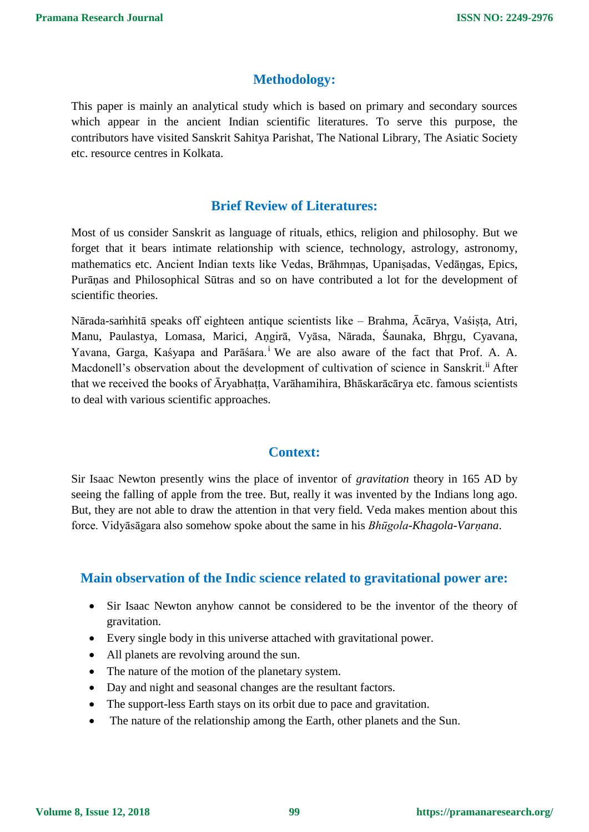### **Methodology:**

This paper is mainly an analytical study which is based on primary and secondary sources which appear in the ancient Indian scientific literatures. To serve this purpose, the contributors have visited Sanskrit Sahitya Parishat, The National Library, The Asiatic Society etc. resource centres in Kolkata.

#### **Brief Review of Literatures:**

Most of us consider Sanskrit as language of rituals, ethics, religion and philosophy. But we forget that it bears intimate relationship with science, technology, astrology, astronomy, mathematics etc. Ancient Indian texts like Vedas, Brāhmṇas, Upaniṣadas, Vedāṇgas, Epics, Purāṇas and Philosophical Sūtras and so on have contributed a lot for the development of scientific theories.

Nārada-saṁhitā speaks off eighteen antique scientists like – Brahma, Ācārya, Vaśiṣṭa, Atri, Manu, Paulastya, Lomasa, Marici, Aṇgirā, Vyāsa, Nārada, Śaunaka, Bhr̥gu, Cyavana, Yavana, Garga, Kaśyapa and Parāśara.<sup>i</sup> We are also aware of the fact that Prof. A. A. Macdonell's observation about the development of cultivation of science in Sanskrit.<sup>ii</sup> After that we received the books of Āryabhaṭṭa, Varāhamihira, Bhāskarācārya etc. famous scientists to deal with various scientific approaches.

#### **Context:**

Sir Isaac Newton presently wins the place of inventor of *gravitation* theory in 165 AD by seeing the falling of apple from the tree. But, really it was invented by the Indians long ago. But, they are not able to draw the attention in that very field. Veda makes mention about this force. Vidyāsāgara also somehow spoke about the same in his *Bhūgola-Khagola-Varṇana*.

#### **Main observation of the Indic science related to gravitational power are:**

- Sir Isaac Newton anyhow cannot be considered to be the inventor of the theory of gravitation.
- Every single body in this universe attached with gravitational power.
- All planets are revolving around the sun.
- The nature of the motion of the planetary system.
- Day and night and seasonal changes are the resultant factors.
- The support-less Earth stays on its orbit due to pace and gravitation.
- The nature of the relationship among the Earth, other planets and the Sun.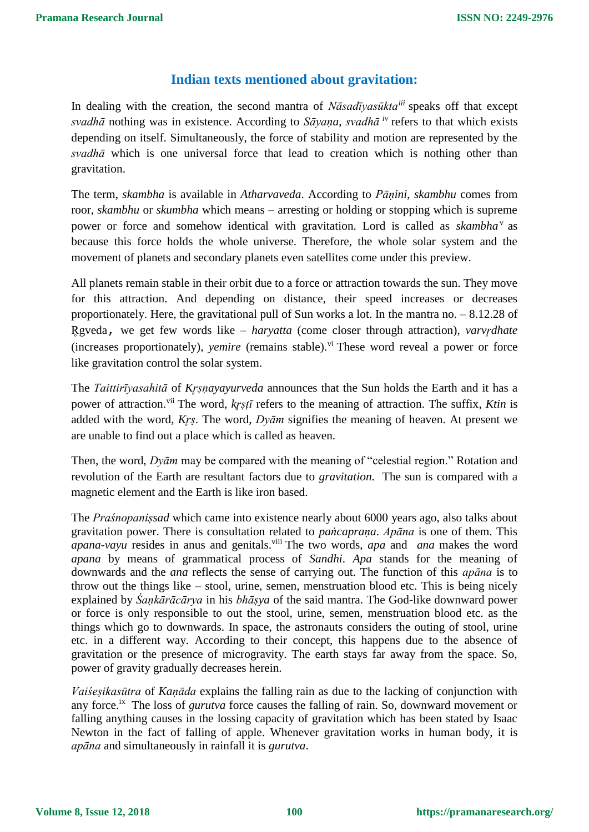## **Indian texts mentioned about gravitation:**

In dealing with the creation, the second mantra of *Nāsadīyasūktaiii* speaks off that except *svadhā* nothing was in existence. According to *Sāyaṇa*, *svadhā iv* refers to that which exists depending on itself. Simultaneously, the force of stability and motion are represented by the *svadhā* which is one universal force that lead to creation which is nothing other than gravitation.

The term, *skambha* is available in *Atharvaveda*. According to *Pāṇini*, *skambhu* comes from roor, *skambhu* or *skumbha* which means – arresting or holding or stopping which is supreme power or force and somehow identical with gravitation. Lord is called as *skambha*<sup>v</sup> as because this force holds the whole universe. Therefore, the whole solar system and the movement of planets and secondary planets even satellites come under this preview.

All planets remain stable in their orbit due to a force or attraction towards the sun. They move for this attraction. And depending on distance, their speed increases or decreases proportionately. Here, the gravitational pull of Sun works a lot. In the mantra no. – 8.12.28 of R̥ gveda, we get few words like – *haryatta* (come closer through attraction), *varvr̥dhate* (increases proportionately), *yemire* (remains stable). vi These word reveal a power or force like gravitation control the solar system.

The *Taittirīyasahitā* of *Kr̥ṣṇayayurveda* announces that the Sun holds the Earth and it has a power of attraction.<sup>vii</sup> The word, *kr*st*ī* refers to the meaning of attraction. The suffix, *Ktin* is added with the word, *Kr̥ṣ*. The word, *Dyām* signifies the meaning of heaven. At present we are unable to find out a place which is called as heaven.

Then, the word, *Dyām* may be compared with the meaning of "celestial region." Rotation and revolution of the Earth are resultant factors due to *gravitation*. The sun is compared with a magnetic element and the Earth is like iron based.

The *Praśnopaniṣsad* which came into existence nearly about 6000 years ago, also talks about gravitation power. There is consultation related to *paṅcapraṇa*. *Apāna* is one of them. This *apana-vayu* resides in anus and genitals.<sup>viii</sup> The two words, *apa* and *ana* makes the word *apana* by means of grammatical process of *Sandhi*. *Apa* stands for the meaning of downwards and the *ana* reflects the sense of carrying out. The function of this *apāna* is to throw out the things like – stool, urine, semen, menstruation blood etc. This is being nicely explained by *Śaṇkārācārya* in his *bhāṣya* of the said mantra. The God-like downward power or force is only responsible to out the stool, urine, semen, menstruation blood etc. as the things which go to downwards. In space, the astronauts considers the outing of stool, urine etc. in a different way. According to their concept, this happens due to the absence of gravitation or the presence of microgravity. The earth stays far away from the space. So, power of gravity gradually decreases herein.

*Vaiśeṣikasūtra* of *Kaṇāda* explains the falling rain as due to the lacking of conjunction with any force.<sup>ix</sup> The loss of *gurutva* force causes the falling of rain. So, downward movement or falling anything causes in the lossing capacity of gravitation which has been stated by Isaac Newton in the fact of falling of apple. Whenever gravitation works in human body, it is *apāna* and simultaneously in rainfall it is *gurutva*.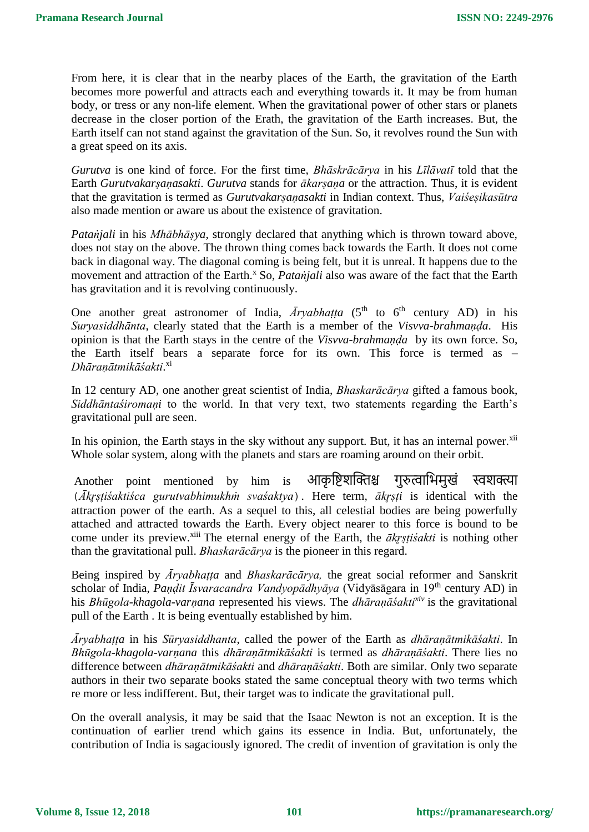From here, it is clear that in the nearby places of the Earth, the gravitation of the Earth becomes more powerful and attracts each and everything towards it. It may be from human body, or tress or any non-life element. When the gravitational power of other stars or planets decrease in the closer portion of the Erath, the gravitation of the Earth increases. But, the Earth itself can not stand against the gravitation of the Sun. So, it revolves round the Sun with a great speed on its axis.

*Gurutva* is one kind of force. For the first time, *Bhāskrācārya* in his *Līlāvatī* told that the Earth *Gurutvakarṣaṇasakti*. *Gurutva* stands for *ākarṣaṇa* or the attraction. Thus, it is evident that the gravitation is termed as *Gurutvakarṣaṇasakti* in Indian context. Thus, *Vaiśeṣikasūtra* also made mention or aware us about the existence of gravitation.

*Pataṅjali* in his *Mhābhāṣya*, strongly declared that anything which is thrown toward above, does not stay on the above. The thrown thing comes back towards the Earth. It does not come back in diagonal way. The diagonal coming is being felt, but it is unreal. It happens due to the movement and attraction of the Earth.<sup>x</sup> So, *Pataṅjali* also was aware of the fact that the Earth has gravitation and it is revolving continuously.

One another great astronomer of India,  $\overline{A}ryabhatta$  (5<sup>th</sup> to 6<sup>th</sup> century AD) in his *Suryasiddhānta*, clearly stated that the Earth is a member of the *Visvva-brahmaṇḍa*. His opinion is that the Earth stays in the centre of the *Visvva-brahmaṇḍa* by its own force. So, the Earth itself bears a separate force for its own. This force is termed as – *Dhāraṇātmikāśakti*. xi

In 12 century AD, one another great scientist of India, *Bhaskarācārya* gifted a famous book, *Siddhāntaśiromaṇi* to the world. In that very text, two statements regarding the Earth's gravitational pull are seen.

In his opinion, the Earth stays in the sky without any support. But, it has an internal power. $^{xii}$ Whole solar system, along with the planets and stars are roaming around on their orbit.

Another point mentioned by him is आकृष्टिशक्तिश्च गुरुत्वाभिमुखं स्वशक्त्या (*Ākr̥ṣṭiśaktiśca gurutvabhimukhṁ svaśaktya*). Here term, *ākr̥ṣṭi* is identical with the attraction power of the earth. As a sequel to this, all celestial bodies are being powerfully attached and attracted towards the Earth. Every object nearer to this force is bound to be come under its preview.<sup>xiii</sup> The eternal energy of the Earth, the *ākrșțisakti* is nothing other than the gravitational pull. *Bhaskarācārya* is the pioneer in this regard.

Being inspired by *Āryabhaṭṭa* and *Bhaskarācārya,* the great social reformer and Sanskrit scholar of India, *Paṇḍit Īsvaracandra Vandyopādhyāya* (Vidyāsāgara in 19th century AD) in his *Bhūgola-khagola-varnana* represented his views. The *dhāranāśakti<sup>xiv</sup>* is the gravitational pull of the Earth . It is being eventually established by him.

*Āryabhaṭṭa* in his *Sūryasiddhanta*, called the power of the Earth as *dhāraṇātmikāśakti*. In *Bhūgola-khagola-varṇana* this *dhāraṇātmikāśakti* is termed as *dhāraṇāśakti*. There lies no difference between *dhāraṇātmikāśakti* and *dhāraṇāśakti*. Both are similar. Only two separate authors in their two separate books stated the same conceptual theory with two terms which re more or less indifferent. But, their target was to indicate the gravitational pull.

On the overall analysis, it may be said that the Isaac Newton is not an exception. It is the continuation of earlier trend which gains its essence in India. But, unfortunately, the contribution of India is sagaciously ignored. The credit of invention of gravitation is only the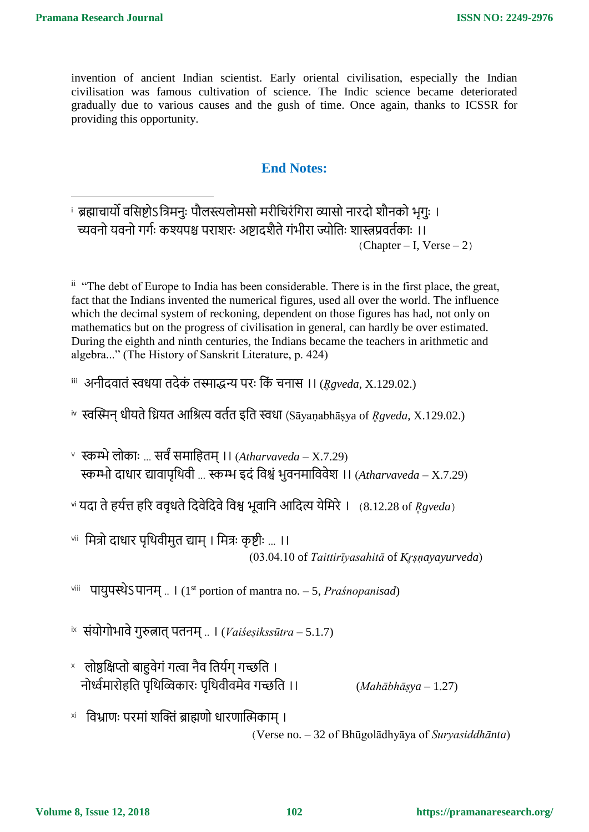**.** 

invention of ancient Indian scientist. Early oriental civilisation, especially the Indian civilisation was famous cultivation of science. The Indic science became deteriorated gradually due to various causes and the gush of time. Once again, thanks to ICSSR for providing this opportunity.

## **End Notes:**

ं ब्रह्माचार्या वसिष्टोऽत्रिमनुः पौलस्त्यलोमसो मरीचिरीगेरा व्यासो नारदो शौनको भृगुः । च्यवनो यवनो गर्गः कश्यपश्च पराशरः अष्टादशैते गंभीरा ज्योतिः शास्त्रप्रवर्तकाः ।।  $(Chapter - I, Verse - 2)$ 

<sup>ii</sup> "The debt of Europe to India has been considerable. There is in the first place, the great, fact that the Indians invented the numerical figures, used all over the world. The influence which the decimal system of reckoning, dependent on those figures has had, not only on mathematics but on the progress of civilisation in general, can hardly be over estimated. During the eighth and ninth centuries, the Indians became the teachers in arithmetic and algebra..." (The History of Sanskrit Literature, p. 424)

iii अनीदवातं स्वधया तदेकं तस्माद्धन्य परः किं चनास ।। (*Rgveda, X.129.02.*)

iv स्वक्तस्मन्धीर्यतेष्टिर्यत आष्टित्य वतगत इष्टत स्वधा (Sāyaṇabhāṣya of *R̥gveda*, X.129.02.)

<sup>v</sup> स्कम्भे लोकाः ... सर्वं समाहितम् ।। (Atharvaveda – X.7.29) स्कम्भो दाधार द्यावापृष्टिवी ... स्कम्भ इदं ष्टवश्वं िुवनमाष्टववेश ।। (*Atharvaveda* – X.7.29)

 $v$ <sup>i</sup> यदा ते हर्यत्त हरि ववृधते दिवेदिवे विश्व भवानि आदित्य येमिरे । (8.12.28 of *Reveda*)

<sup>vii</sup> मित्रो दाधार पृथिवीमुत द्याम् । मित्रः कृष्टीः ... ।। (03.04.10 of *Taittirīyasahitā* of *Kr̥ṣṇayayurveda*)

viii पार्युपस्िेऽपानम्.. । (1 st portion of mantra no. – 5, *Praśnopanisad*)

ix िंर्योगोिावेगुरुत्नात्पतनम्.. । (*Vaiśeṣikssūtra* – 5.1.7)

× लोष्ठक्षिप्तो बाहुवेगं गत्वा नैव तिर्यग् गच्छति । नोर्ध्गमारोिष्टत पृष्टिक्तिकारुः पृष्टिवीवमेव गच्छष्टत ।। (*Mahābhāṣya* – 1.27)

xi ष्टवभ्राणुः परमां शक्तिं ब्राह्मणो धारणाक्तिकाम्।

(Verse no. – 32 of Bhūgolādhyāya of *Suryasiddhānta*)